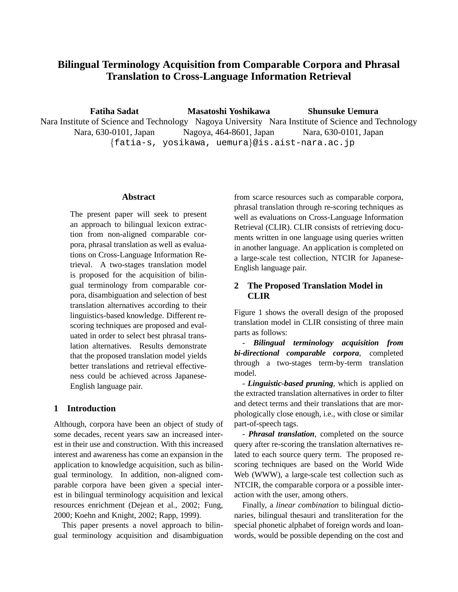# **Bilingual Terminology Acquisition from Comparable Corpora and Phrasal Translation to Cross-Language Information Retrieval**

**Fatiha Sadat** Nara Institute of Science and Technology Nagoya University Nara Institute of Science and Technology Nara, 630-0101, Japan {fatia-s, yosikawa, uemura}@is.aist-nara.ac.jp **Masatoshi Yoshikawa** Nagoya, 464-8601, Japan **Shunsuke Uemura** Nara, 630-0101, Japan

## **Abstract**

The present paper will seek to present an approach to bilingual lexicon extraction from non-aligned comparable corpora, phrasal translation as well as evaluations on Cross-Language Information Retrieval. A two-stages translation model is proposed for the acquisition of bilingual terminology from comparable corpora, disambiguation and selection of best translation alternatives according to their linguistics-based knowledge. Different rescoring techniques are proposed and evaluated in order to select best phrasal translation alternatives. Results demonstrate that the proposed translation model yields better translations and retrieval effectiveness could be achieved across Japanese-English language pair.

# **1 Introduction**

Although, corpora have been an object of study of some decades, recent years saw an increased interest in their use and construction. With this increased interest and awareness has come an expansion in the application to knowledge acquisition, such as bilingual terminology. In addition, non-aligned comparable corpora have been given a special interest in bilingual terminology acquisition and lexical resources enrichment (Dejean et al., 2002; Fung, 2000; Koehn and Knight, 2002; Rapp, 1999).

This paper presents a novel approach to bilingual terminology acquisition and disambiguation from scarce resources such as comparable corpora, phrasal translation through re-scoring techniques as well as evaluations on Cross-Language Information Retrieval (CLIR). CLIR consists of retrieving documents written in one language using queries written in another language. An application is completed on a large-scale test collection, NTCIR for Japanese-English language pair.

# **2 The Proposed Translation Model in CLIR**

Figure 1 shows the overall design of the proposed translation model in CLIR consisting of three main parts as follows:

- *Bilingual terminology acquisition from bi-directional comparable corpora*, completed through a two-stages term-by-term translation model.

- *Linguistic-based pruning*, which is applied on the extracted translation alternatives in order to filter and detect terms and their translations that are morphologically close enough, i.e., with close or similar part-of-speech tags.

- *Phrasal translation*, completed on the source query after re-scoring the translation alternatives related to each source query term. The proposed rescoring techniques are based on the World Wide Web (WWW), a large-scale test collection such as NTCIR, the comparable corpora or a possible interaction with the user, among others.

Finally, a *linear combination* to bilingual dictionaries, bilingual thesauri and transliteration for the special phonetic alphabet of foreign words and loanwords, would be possible depending on the cost and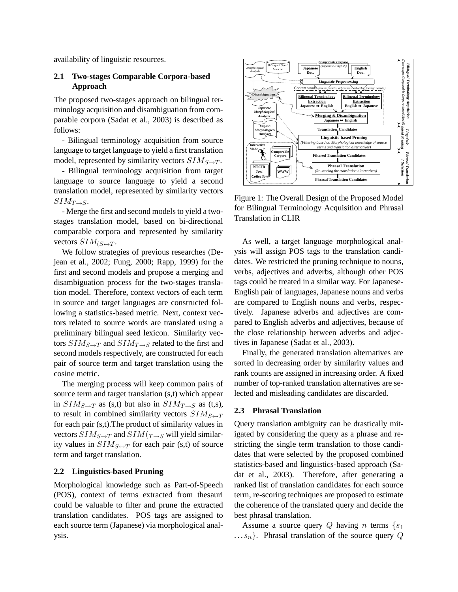availability of linguistic resources.

## **2.1 Two-stages Comparable Corpora-based Approach**

The proposed two-stages approach on bilingual terminology acquisition and disambiguation from comparable corpora (Sadat et al., 2003) is described as follows:

- Bilingual terminology acquisition from source language to target language to yield a first translation model, represented by similarity vectors  $SIM_{S\rightarrow T}$ .

- Bilingual terminology acquisition from target language to source language to yield a second translation model, represented by similarity vectors  $SIM_{T\rightarrow S}.$ 

- Merge the first and second models to yield a twostages translation model, based on bi-directional comparable corpora and represented by similarity vectors  $SIM_{(S \leftrightarrow T)}$ .

We follow strategies of previous researches (Dejean et al., 2002; Fung, 2000; Rapp, 1999) for the first and second models and propose a merging and disambiguation process for the two-stages translation model. Therefore, context vectors of each term in source and target languages are constructed following a statistics-based metric. Next, context vectors related to source words are translated using a preliminary bilingual seed lexicon. Similarity vectors  $SIM_{S\rightarrow T}$  and  $SIM_{T\rightarrow S}$  related to the first and second models respectively, are constructed for each pair of source term and target translation using the cosine metric.

The merging process will keep common pairs of source term and target translation (s,t) which appear in  $SIM_{S\rightarrow T}$  as (s,t) but also in  $SIM_{T\rightarrow S}$  as (t,s), to result in combined similarity vectors  $SIM_{S \leftrightarrow T}$ for each pair (s,t).The product of similarity values in vectors  $SIM_{S\rightarrow T}$  and  $SIM_{T\rightarrow S}$  will yield similarity values in  $SIM_{S \leftrightarrow T}$  for each pair (s,t) of source term and target translation.

#### **2.2 Linguistics-based Pruning**

Morphological knowledge such as Part-of-Speech (POS), context of terms extracted from thesauri could be valuable to filter and prune the extracted translation candidates. POS tags are assigned to each source term (Japanese) via morphological analysis.



Figure 1: The Overall Design of the Proposed Model for Bilingual Terminology Acquisition and Phrasal Translation in CLIR

As well, a target language morphological analysis will assign POS tags to the translation candidates. We restricted the pruning technique to nouns, verbs, adjectives and adverbs, although other POS tags could be treated in a similar way. For Japanese-English pair of languages, Japanese nouns and verbs are compared to English nouns and verbs, respectively. Japanese adverbs and adjectives are compared to English adverbs and adjectives, because of the close relationship between adverbs and adjectives in Japanese (Sadat et al., 2003).

Finally, the generated translation alternatives are sorted in decreasing order by similarity values and rank counts are assigned in increasing order. A fixed number of top-ranked translation alternatives are selected and misleading candidates are discarded.

#### **2.3 Phrasal Translation**

Query translation ambiguity can be drastically mitigated by considering the query as a phrase and restricting the single term translation to those candidates that were selected by the proposed combined statistics-based and linguistics-based approach (Sadat et al., 2003). Therefore, after generating a ranked list of translation candidates for each source term, re-scoring techniques are proposed to estimate the coherence of the translated query and decide the best phrasal translation.

Assume a source query Q having n terms  $\{s_1\}$  $\ldots s_n$ . Phrasal translation of the source query Q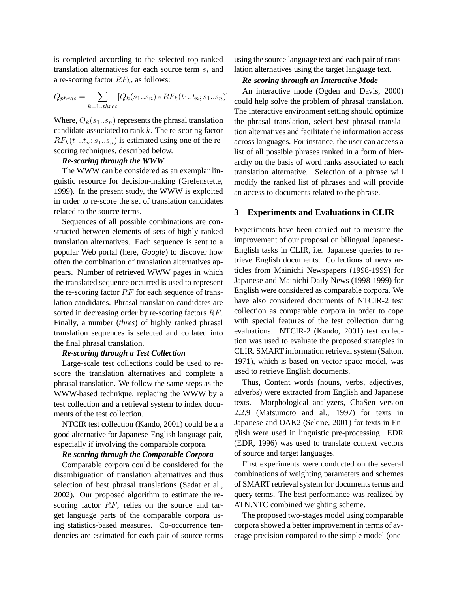is completed according to the selected top-ranked translation alternatives for each source term  $s_i$  and a re-scoring factor  $RF_k$ , as follows:

$$
Q_{phras} = \sum_{k=1. \text{thres}} [Q_k(s_1..s_n) \times RF_k(t_1..t_n;s_1..s_n)]
$$

Where,  $Q_k(s_1...s_n)$  represents the phrasal translation candidate associated to rank  $k$ . The re-scoring factor  $RF_k(t_1..t_n; s_1..s_n)$  is estimated using one of the rescoring techniques, described below.

#### *Re-scoring through the WWW*

The WWW can be considered as an exemplar linguistic resource for decision-making (Grefenstette, 1999). In the present study, the WWW is exploited in order to re-score the set of translation candidates related to the source terms.

Sequences of all possible combinations are constructed between elements of sets of highly ranked translation alternatives. Each sequence is sent to a popular Web portal (here, *Google*) to discover how often the combination of translation alternatives appears. Number of retrieved WWW pages in which the translated sequence occurred is used to represent the re-scoring factor  $RF$  for each sequence of translation candidates. Phrasal translation candidates are sorted in decreasing order by re-scoring factors RF. Finally, a number (*thres*) of highly ranked phrasal translation sequences is selected and collated into the final phrasal translation.

#### *Re-scoring through a Test Collection*

Large-scale test collections could be used to rescore the translation alternatives and complete a phrasal translation. We follow the same steps as the WWW-based technique, replacing the WWW by a test collection and a retrieval system to index documents of the test collection.

NTCIR test collection (Kando, 2001) could be a a good alternative for Japanese-English language pair, especially if involving the comparable corpora.

#### *Re-scoring through the Comparable Corpora*

Comparable corpora could be considered for the disambiguation of translation alternatives and thus selection of best phrasal translations (Sadat et al., 2002). Our proposed algorithm to estimate the rescoring factor RF, relies on the source and target language parts of the comparable corpora using statistics-based measures. Co-occurrence tendencies are estimated for each pair of source terms

using the source language text and each pair of translation alternatives using the target language text.

#### *Re-scoring through an Interactive Mode*

An interactive mode (Ogden and Davis, 2000) could help solve the problem of phrasal translation. The interactive environment setting should optimize the phrasal translation, select best phrasal translation alternatives and facilitate the information access across languages. For instance, the user can access a list of all possible phrases ranked in a form of hierarchy on the basis of word ranks associated to each translation alternative. Selection of a phrase will modify the ranked list of phrases and will provide an access to documents related to the phrase.

#### **3 Experiments and Evaluations in CLIR**

Experiments have been carried out to measure the improvement of our proposal on bilingual Japanese-English tasks in CLIR, i.e. Japanese queries to retrieve English documents. Collections of news articles from Mainichi Newspapers (1998-1999) for Japanese and Mainichi Daily News (1998-1999) for English were considered as comparable corpora. We have also considered documents of NTCIR-2 test collection as comparable corpora in order to cope with special features of the test collection during evaluations. NTCIR-2 (Kando, 2001) test collection was used to evaluate the proposed strategies in CLIR. SMART information retrieval system (Salton, 1971), which is based on vector space model, was used to retrieve English documents.

Thus, Content words (nouns, verbs, adjectives, adverbs) were extracted from English and Japanese texts. Morphological analyzers, ChaSen version 2.2.9 (Matsumoto and al., 1997) for texts in Japanese and OAK2 (Sekine, 2001) for texts in English were used in linguistic pre-processing. EDR (EDR, 1996) was used to translate context vectors of source and target languages.

First experiments were conducted on the several combinations of weighting parameters and schemes of SMART retrieval system for documents terms and query terms. The best performance was realized by ATN.NTC combined weighting scheme.

The proposed two-stages model using comparable corpora showed a better improvement in terms of average precision compared to the simple model (one